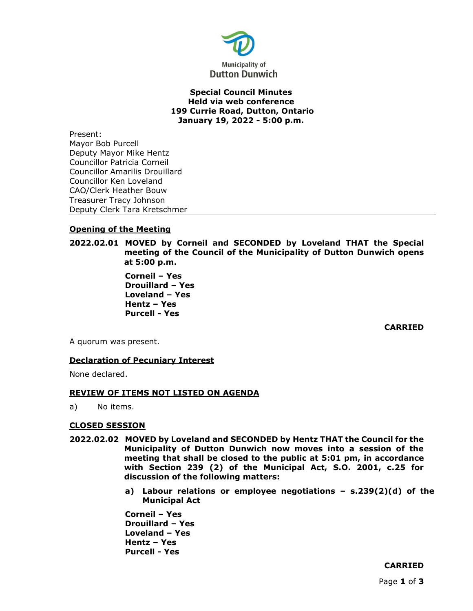

## **Special Council Minutes Held via web conference 199 Currie Road, Dutton, Ontario January 19, 2022 - 5:00 p.m.**

Present: Mayor Bob Purcell Deputy Mayor Mike Hentz Councillor Patricia Corneil Councillor Amarilis Drouillard Councillor Ken Loveland CAO/Clerk Heather Bouw Treasurer Tracy Johnson Deputy Clerk Tara Kretschmer

# **Opening of the Meeting**

**2022.02.01 MOVED by Corneil and SECONDED by Loveland THAT the Special meeting of the Council of the Municipality of Dutton Dunwich opens at 5:00 p.m.**

> **Corneil – Yes Drouillard – Yes Loveland – Yes Hentz – Yes Purcell - Yes**

> > **CARRIED**

A quorum was present.

## **Declaration of Pecuniary Interest**

None declared.

### **REVIEW OF ITEMS NOT LISTED ON AGENDA**

a) No items.

### **CLOSED SESSION**

- **2022.02.02 MOVED by Loveland and SECONDED by Hentz THAT the Council for the Municipality of Dutton Dunwich now moves into a session of the meeting that shall be closed to the public at 5:01 pm, in accordance with Section 239 (2) of the Municipal Act, S.O. 2001, c.25 for discussion of the following matters:**
	- **a) Labour relations or employee negotiations – s.239(2)(d) of the Municipal Act**

**Corneil – Yes Drouillard – Yes Loveland – Yes Hentz – Yes Purcell - Yes**

# **CARRIED**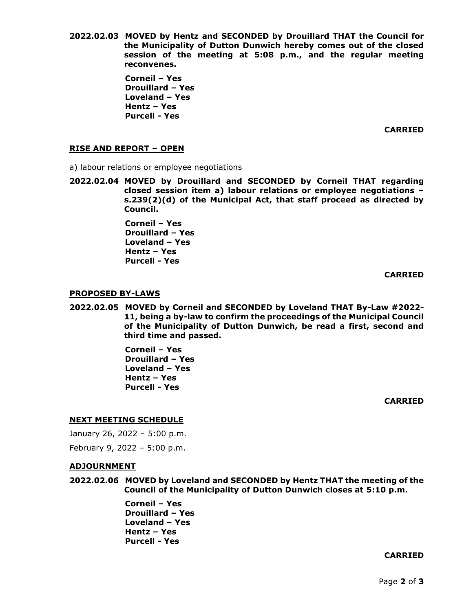**2022.02.03 MOVED by Hentz and SECONDED by Drouillard THAT the Council for the Municipality of Dutton Dunwich hereby comes out of the closed session of the meeting at 5:08 p.m., and the regular meeting reconvenes.**

> **Corneil – Yes Drouillard – Yes Loveland – Yes Hentz – Yes Purcell - Yes**

> > **CARRIED**

## **RISE AND REPORT – OPEN**

a) labour relations or employee negotiations

**2022.02.04 MOVED by Drouillard and SECONDED by Corneil THAT regarding closed session item a) labour relations or employee negotiations – s.239(2)(d) of the Municipal Act, that staff proceed as directed by Council.** 

> **Corneil – Yes Drouillard – Yes Loveland – Yes Hentz – Yes Purcell - Yes**

> > **CARRIED**

### **PROPOSED BY-LAWS**

**2022.02.05 MOVED by Corneil and SECONDED by Loveland THAT By-Law #2022- 11, being a by-law to confirm the proceedings of the Municipal Council of the Municipality of Dutton Dunwich, be read a first, second and third time and passed.**

> **Corneil – Yes Drouillard – Yes Loveland – Yes Hentz – Yes Purcell - Yes**

> > **CARRIED**

## **NEXT MEETING SCHEDULE**

January 26, 2022 – 5:00 p.m.

February 9, 2022 – 5:00 p.m.

### **ADJOURNMENT**

**2022.02.06 MOVED by Loveland and SECONDED by Hentz THAT the meeting of the Council of the Municipality of Dutton Dunwich closes at 5:10 p.m.**

> **Corneil – Yes Drouillard – Yes Loveland – Yes Hentz – Yes Purcell - Yes**

#### **CARRIED**